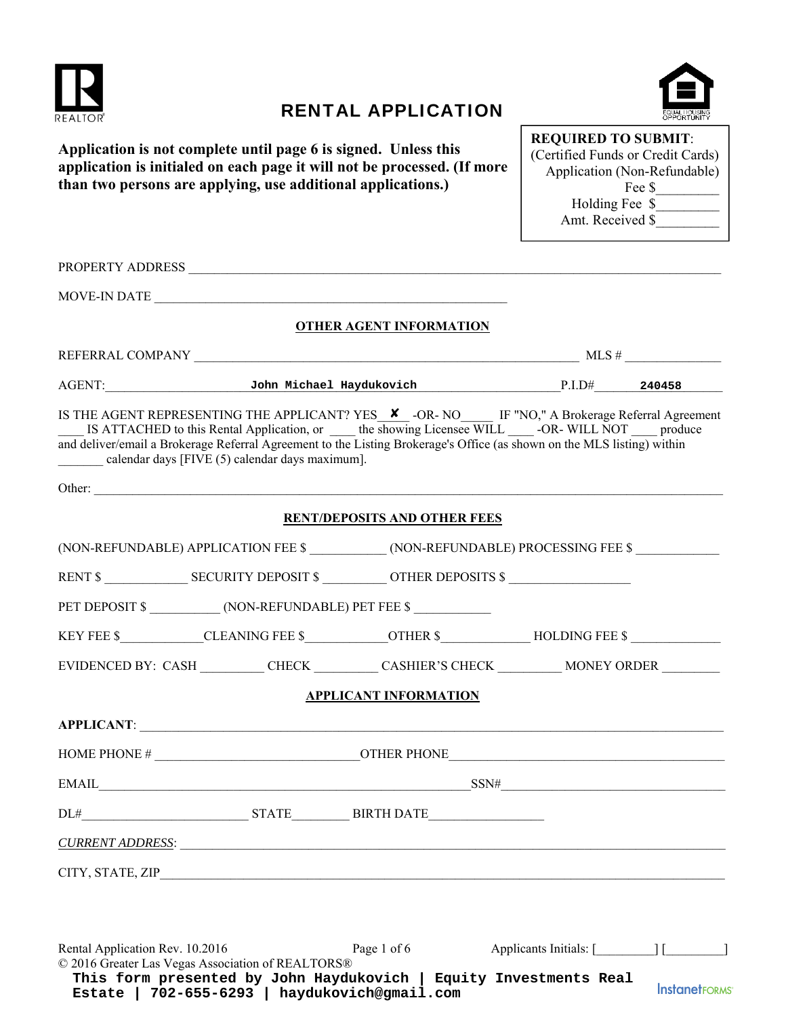

## RENTAL APPLICATION



**Application is not complete until page 6 is signed. Unless this application is initialed on each page it will not be processed. (If more than two persons are applying, use additional applications.)** 

| <b>REQUIRED TO SUBMIT:</b>        |
|-----------------------------------|
| (Certified Funds or Credit Cards) |
| Application (Non-Refundable)      |
| Fee \$                            |
| Holding Fee \$                    |
| Amt. Received \$                  |
|                                   |

|                                                                                      | <b>OTHER AGENT INFORMATION</b>      |                                                                                                                                                                                                                                                                                                                                                |  |
|--------------------------------------------------------------------------------------|-------------------------------------|------------------------------------------------------------------------------------------------------------------------------------------------------------------------------------------------------------------------------------------------------------------------------------------------------------------------------------------------|--|
|                                                                                      |                                     | REFERRAL COMPANY $\_\_\_\_\_\_\_$ MLS # $\_\_\_\_\_\_\_$                                                                                                                                                                                                                                                                                       |  |
|                                                                                      |                                     | AGENT: 340458 John Michael Haydukovich P.I.D# 240458                                                                                                                                                                                                                                                                                           |  |
| calendar days [FIVE (5) calendar days maximum].                                      |                                     | IS THE AGENT REPRESENTING THE APPLICANT? YES <b>X</b> -OR- NO IF "NO," A Brokerage Referral Agreement<br>IS ATTACHED to this Rental Application, or _____ the showing Licensee WILL _____-OR-WILL NOT _____ produce<br>and deliver/email a Brokerage Referral Agreement to the Listing Brokerage's Office (as shown on the MLS listing) within |  |
|                                                                                      |                                     |                                                                                                                                                                                                                                                                                                                                                |  |
|                                                                                      | <b>RENT/DEPOSITS AND OTHER FEES</b> |                                                                                                                                                                                                                                                                                                                                                |  |
|                                                                                      |                                     | (NON-REFUNDABLE) APPLICATION FEE \$ ____________(NON-REFUNDABLE) PROCESSING FEE \$ ___________________                                                                                                                                                                                                                                         |  |
|                                                                                      |                                     |                                                                                                                                                                                                                                                                                                                                                |  |
|                                                                                      |                                     |                                                                                                                                                                                                                                                                                                                                                |  |
|                                                                                      |                                     | KEY FEE \$___________CLEANING FEE \$_____________OTHER \$_____________HOLDING FEE \$ __________________                                                                                                                                                                                                                                        |  |
|                                                                                      |                                     | EVIDENCED BY: CASH __________ CHECK __________ CASHIER'S CHECK __________ MONEY ORDER ________                                                                                                                                                                                                                                                 |  |
|                                                                                      | <b>APPLICANT INFORMATION</b>        |                                                                                                                                                                                                                                                                                                                                                |  |
|                                                                                      |                                     |                                                                                                                                                                                                                                                                                                                                                |  |
|                                                                                      |                                     |                                                                                                                                                                                                                                                                                                                                                |  |
|                                                                                      |                                     | $EMAIL$ SSN#                                                                                                                                                                                                                                                                                                                                   |  |
|                                                                                      |                                     |                                                                                                                                                                                                                                                                                                                                                |  |
| <u>CURRENT ADDRESS:</u>                                                              |                                     |                                                                                                                                                                                                                                                                                                                                                |  |
|                                                                                      |                                     |                                                                                                                                                                                                                                                                                                                                                |  |
| Rental Application Rev. 10.2016<br>© 2016 Greater Las Vegas Association of REALTORS® | Page 1 of 6                         | Applicants Initials: [ [ [ [ ] ]                                                                                                                                                                                                                                                                                                               |  |

**This form presented by John Haydukovich | Equity Investments Real InstanetFORMS Estate | 702-655-6293 | haydukovich@gmail.com**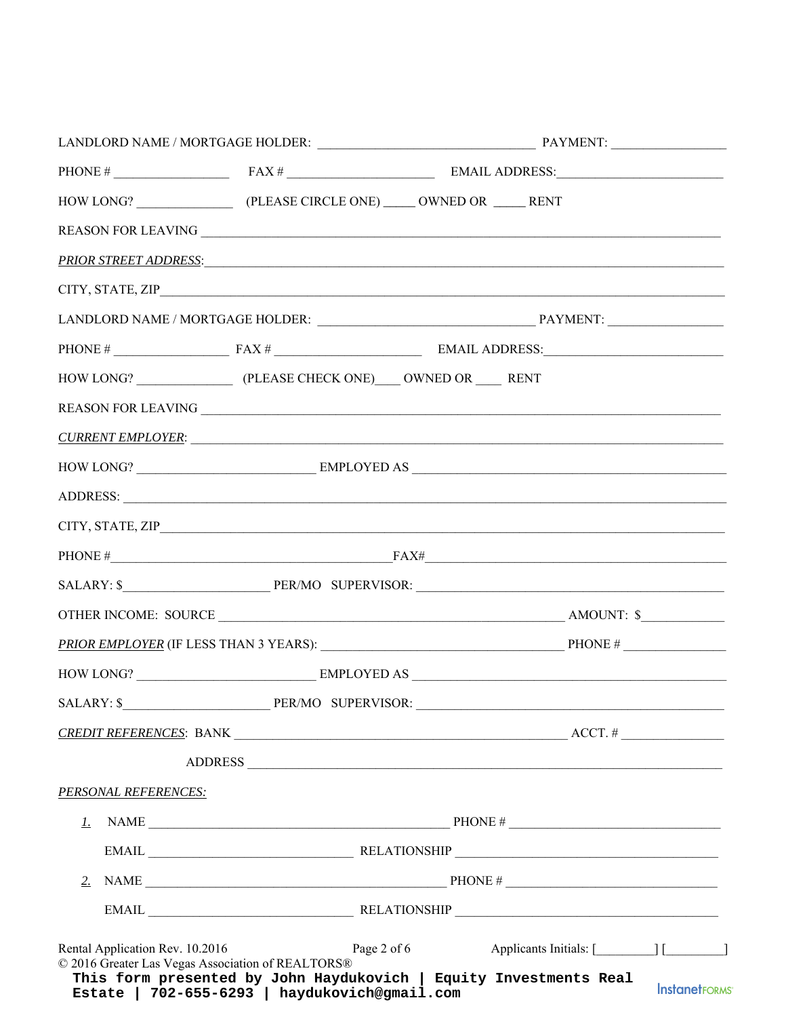|                                                                                                |                                      |                                                                                                                                                                                                                                                                                                         | PRIOR STREET ADDRESS: And the contract of the contract of the contract of the contract of the contract of the contract of the contract of the contract of the contract of the contract of the contract of the contract of the |                      |
|------------------------------------------------------------------------------------------------|--------------------------------------|---------------------------------------------------------------------------------------------------------------------------------------------------------------------------------------------------------------------------------------------------------------------------------------------------------|-------------------------------------------------------------------------------------------------------------------------------------------------------------------------------------------------------------------------------|----------------------|
|                                                                                                |                                      |                                                                                                                                                                                                                                                                                                         |                                                                                                                                                                                                                               |                      |
|                                                                                                |                                      |                                                                                                                                                                                                                                                                                                         |                                                                                                                                                                                                                               |                      |
|                                                                                                |                                      |                                                                                                                                                                                                                                                                                                         |                                                                                                                                                                                                                               |                      |
| HOW LONG? (PLEASE CHECK ONE) OWNED OR RENT                                                     |                                      |                                                                                                                                                                                                                                                                                                         |                                                                                                                                                                                                                               |                      |
|                                                                                                |                                      |                                                                                                                                                                                                                                                                                                         |                                                                                                                                                                                                                               |                      |
|                                                                                                |                                      |                                                                                                                                                                                                                                                                                                         | <u>CURRENT EMPLOYER:</u>                                                                                                                                                                                                      |                      |
|                                                                                                |                                      |                                                                                                                                                                                                                                                                                                         |                                                                                                                                                                                                                               |                      |
|                                                                                                |                                      |                                                                                                                                                                                                                                                                                                         |                                                                                                                                                                                                                               |                      |
|                                                                                                |                                      |                                                                                                                                                                                                                                                                                                         |                                                                                                                                                                                                                               |                      |
|                                                                                                |                                      |                                                                                                                                                                                                                                                                                                         | PHONE $\#$ FAX $\#$                                                                                                                                                                                                           |                      |
|                                                                                                |                                      |                                                                                                                                                                                                                                                                                                         |                                                                                                                                                                                                                               |                      |
|                                                                                                |                                      |                                                                                                                                                                                                                                                                                                         |                                                                                                                                                                                                                               |                      |
|                                                                                                |                                      |                                                                                                                                                                                                                                                                                                         |                                                                                                                                                                                                                               |                      |
|                                                                                                |                                      |                                                                                                                                                                                                                                                                                                         |                                                                                                                                                                                                                               |                      |
|                                                                                                |                                      |                                                                                                                                                                                                                                                                                                         |                                                                                                                                                                                                                               |                      |
|                                                                                                |                                      |                                                                                                                                                                                                                                                                                                         |                                                                                                                                                                                                                               |                      |
|                                                                                                |                                      |                                                                                                                                                                                                                                                                                                         |                                                                                                                                                                                                                               |                      |
| <b>PERSONAL REFERENCES:</b>                                                                    |                                      |                                                                                                                                                                                                                                                                                                         |                                                                                                                                                                                                                               |                      |
| 1.                                                                                             |                                      |                                                                                                                                                                                                                                                                                                         | NAME $\_\_$                                                                                                                                                                                                                   |                      |
|                                                                                                |                                      | $EMAIL$ $EMAIL$ $EMAIL$ $EMAIL$ $EMAIL$ $EMAIL$ $EMAIL$ $EMAIL$ $EMAIL$ $EMAIL$ $EMAIL$ $EMAIL$ $EMAIL$ $EMAIL$ $EMAIL$ $EMAIL$ $EMAIL$ $EMAIL$ $EMAIL$ $EMAIL$ $EMAIL$ $EMAIL$ $EMAIL$ $EMAIL$ $EMAIL$ $EMAIL$ $EMAIL$ $EMAIL$ $EMAIL$ $EMAIL$ $EMAIL$ $EMAIL$ $EMAIL$ $EMAIL$ $EMAIL$ $EMAIL$ $EMAIL$ |                                                                                                                                                                                                                               |                      |
|                                                                                                |                                      |                                                                                                                                                                                                                                                                                                         |                                                                                                                                                                                                                               |                      |
|                                                                                                |                                      |                                                                                                                                                                                                                                                                                                         |                                                                                                                                                                                                                               |                      |
| Rental Application Rev. 10.2016<br>© 2016 Greater Las Vegas Association of REALTORS®<br>Estate | 702-655-6293   haydukovich@gmail.com | Page $2$ of $6$                                                                                                                                                                                                                                                                                         | Applicants Initials: [ [ ] [ ]<br>This form presented by John Haydukovich   Equity Investments Real                                                                                                                           | <b>InstanetFORMS</b> |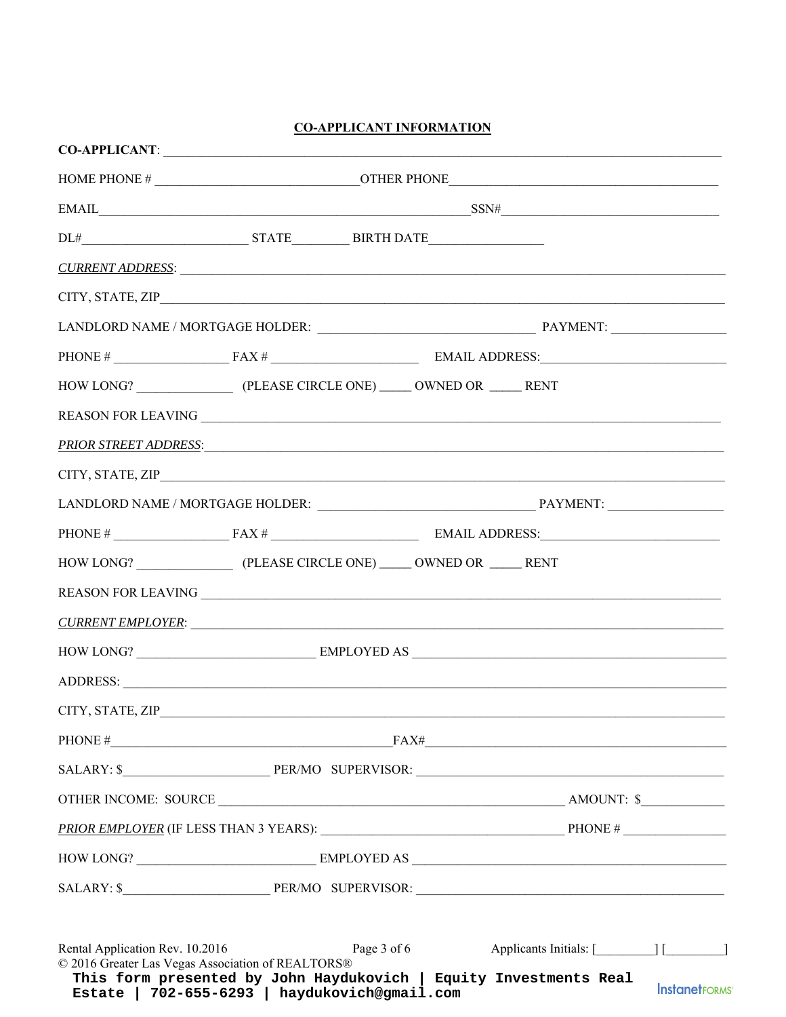## **CO-APPLICANT INFORMATION**

|                                                                                      | $\text{EMAIL} \underline{\hspace{2cm}} \text{SSN}\# \underline{\hspace{2cm}} \underline{\hspace{2cm}} \text{SSN}\# \underline{\hspace{2cm}}$ |  |                             |                      |
|--------------------------------------------------------------------------------------|----------------------------------------------------------------------------------------------------------------------------------------------|--|-----------------------------|----------------------|
|                                                                                      |                                                                                                                                              |  |                             |                      |
|                                                                                      | <u>CURRENT ADDRESS:</u>                                                                                                                      |  |                             |                      |
|                                                                                      |                                                                                                                                              |  |                             |                      |
|                                                                                      |                                                                                                                                              |  |                             |                      |
|                                                                                      |                                                                                                                                              |  |                             |                      |
|                                                                                      |                                                                                                                                              |  |                             |                      |
|                                                                                      |                                                                                                                                              |  |                             |                      |
|                                                                                      | PRIOR STREET ADDRESS:                                                                                                                        |  |                             |                      |
|                                                                                      |                                                                                                                                              |  |                             |                      |
|                                                                                      |                                                                                                                                              |  |                             |                      |
|                                                                                      |                                                                                                                                              |  |                             |                      |
|                                                                                      |                                                                                                                                              |  |                             |                      |
|                                                                                      |                                                                                                                                              |  |                             |                      |
|                                                                                      | <u>CURRENT EMPLOYER:</u>                                                                                                                     |  |                             |                      |
|                                                                                      |                                                                                                                                              |  |                             |                      |
|                                                                                      | ADDRESS:                                                                                                                                     |  |                             |                      |
| CITY, STATE, ZIP                                                                     |                                                                                                                                              |  |                             |                      |
|                                                                                      | PHONE $#$ $FAX#$ $FAX#$                                                                                                                      |  |                             |                      |
|                                                                                      |                                                                                                                                              |  |                             |                      |
|                                                                                      |                                                                                                                                              |  |                             |                      |
|                                                                                      |                                                                                                                                              |  |                             |                      |
|                                                                                      |                                                                                                                                              |  |                             |                      |
|                                                                                      |                                                                                                                                              |  |                             |                      |
|                                                                                      |                                                                                                                                              |  |                             |                      |
| Rental Application Rev. 10.2016<br>© 2016 Greater Las Vegas Association of REALTORS® | Page 3 of 6<br>This form presented by John Haydukovich   Equity Investments Real<br>Estate   702-655-6293   haydukovich@gmail.com            |  | Applicants Initials: [1999] | <b>InstanetFORMS</b> |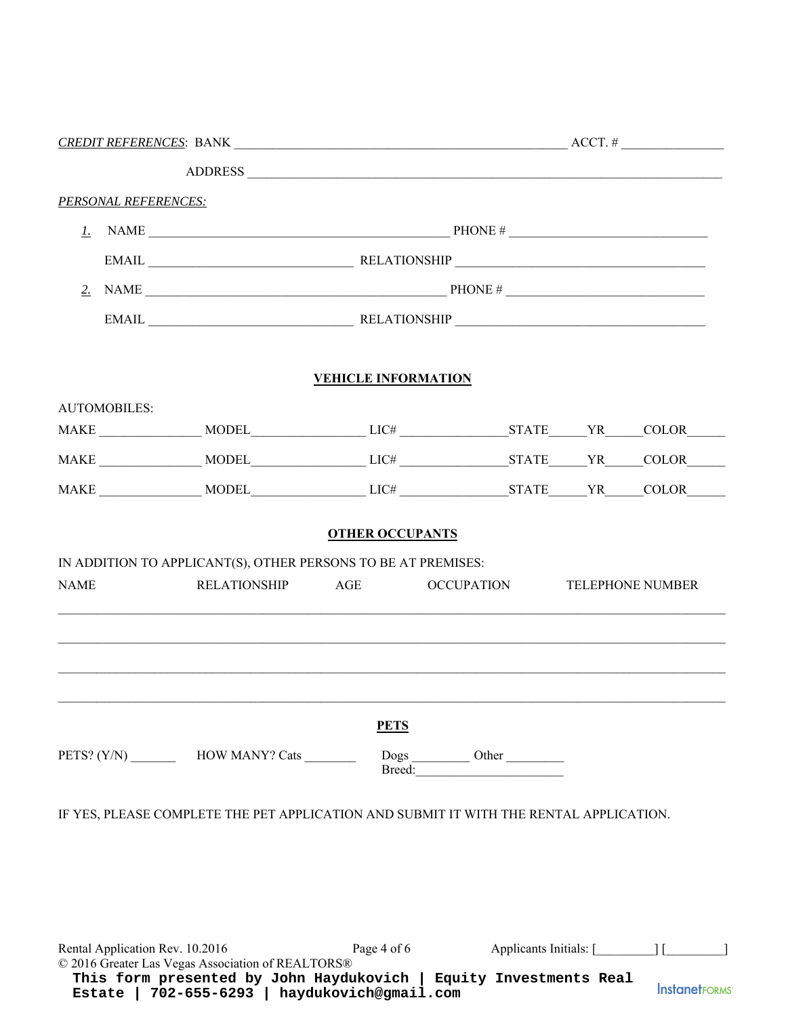|                                 |                                                                                                                        |                                 | $ACCT.$ #            |  |       |
|---------------------------------|------------------------------------------------------------------------------------------------------------------------|---------------------------------|----------------------|--|-------|
|                                 |                                                                                                                        |                                 |                      |  |       |
| <b>PERSONAL REFERENCES:</b>     |                                                                                                                        |                                 |                      |  |       |
|                                 |                                                                                                                        |                                 |                      |  |       |
|                                 |                                                                                                                        |                                 |                      |  |       |
|                                 |                                                                                                                        | 2. NAME $\qquad \qquad$ PHONE # |                      |  |       |
|                                 |                                                                                                                        |                                 |                      |  |       |
|                                 |                                                                                                                        | <b>VEHICLE INFORMATION</b>      |                      |  |       |
| <b>AUTOMOBILES:</b>             |                                                                                                                        |                                 |                      |  |       |
|                                 |                                                                                                                        |                                 |                      |  |       |
|                                 |                                                                                                                        |                                 |                      |  |       |
|                                 |                                                                                                                        |                                 |                      |  | COLOR |
|                                 |                                                                                                                        |                                 |                      |  |       |
|                                 |                                                                                                                        | <b>PETS</b>                     |                      |  |       |
|                                 | PETS? (Y/N) ____________ HOW MANY? Cats _________                                                                      |                                 | Dogs<br>Breed: Other |  |       |
|                                 | IF YES, PLEASE COMPLETE THE PET APPLICATION AND SUBMIT IT WITH THE RENTAL APPLICATION.                                 |                                 |                      |  |       |
|                                 |                                                                                                                        |                                 |                      |  |       |
| Rental Application Rev. 10.2016 | © 2016 Greater Las Vegas Association of REALTORS®<br>This form presented by John Haydukovich   Equity Investments Real | Page 4 of 6                     |                      |  |       |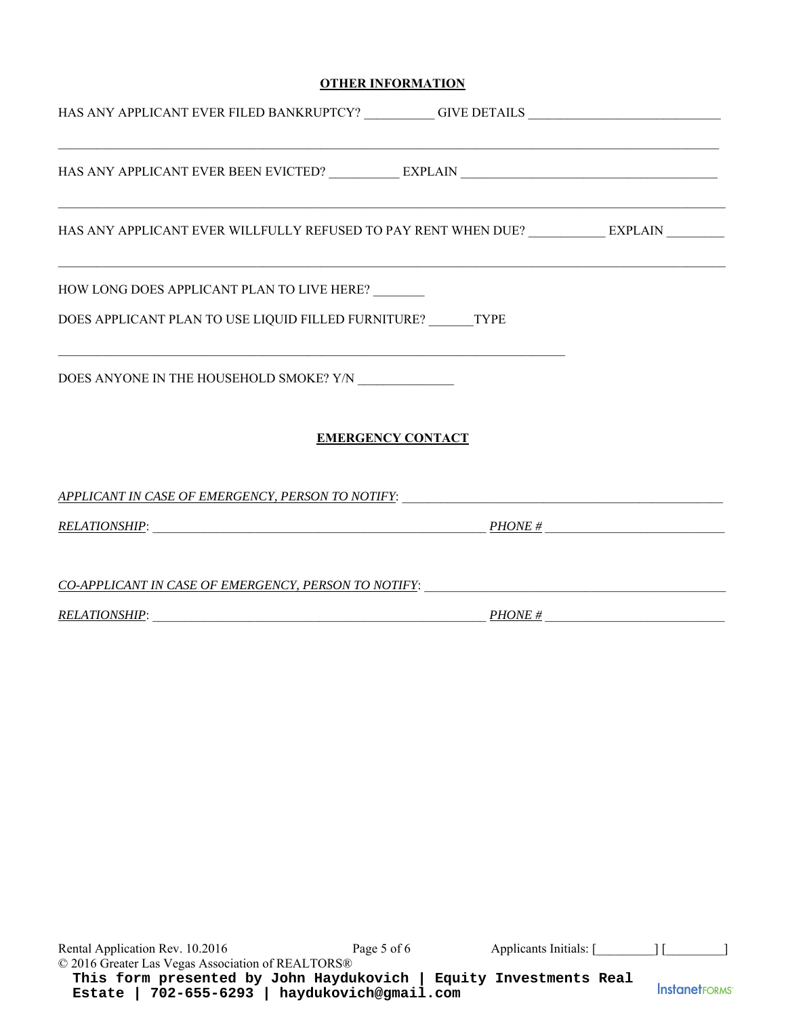## **OTHER INFORMATION**

| HAS ANY APPLICANT EVER FILED BANKRUPTCY? ____________GIVE DETAILS _______________                                       |                          |  |
|-------------------------------------------------------------------------------------------------------------------------|--------------------------|--|
| <u> 1999 - 1999 - 1999 - 1999 - 1999 - 1999 - 1999 - 1999 - 1999 - 1999 - 1999 - 1999 - 1999 - 1999 - 1999 - 1999 -</u> |                          |  |
| HAS ANY APPLICANT EVER WILLFULLY REFUSED TO PAY RENT WHEN DUE? ___________ EXPLAIN ________                             |                          |  |
| HOW LONG DOES APPLICANT PLAN TO LIVE HERE?                                                                              |                          |  |
| DOES APPLICANT PLAN TO USE LIQUID FILLED FURNITURE? TYPE                                                                |                          |  |
| <u> 1989 - Johann Stoff, amerikansk politiker (d. 1989)</u><br>DOES ANYONE IN THE HOUSEHOLD SMOKE? Y/N                  |                          |  |
|                                                                                                                         | <b>EMERGENCY CONTACT</b> |  |
|                                                                                                                         |                          |  |
|                                                                                                                         |                          |  |
| CO-APPLICANT IN CASE OF EMERGENCY, PERSON TO NOTIFY: ____________________________                                       |                          |  |
| $RELATIONSHIP: \n$                                                                                                      |                          |  |

Rental Application Rev. 10.2016 Page 5 of 6 Applicants Initials: [\_\_\_\_\_\_\_\_] [\_\_\_\_\_\_\_\_\_\_] © 2016 Greater Las Vegas Association of REALTORS® **This form presented by John Haydukovich | Equity Investments Real InstanetFORMS Estate | 702-655-6293 | haydukovich@gmail.com**